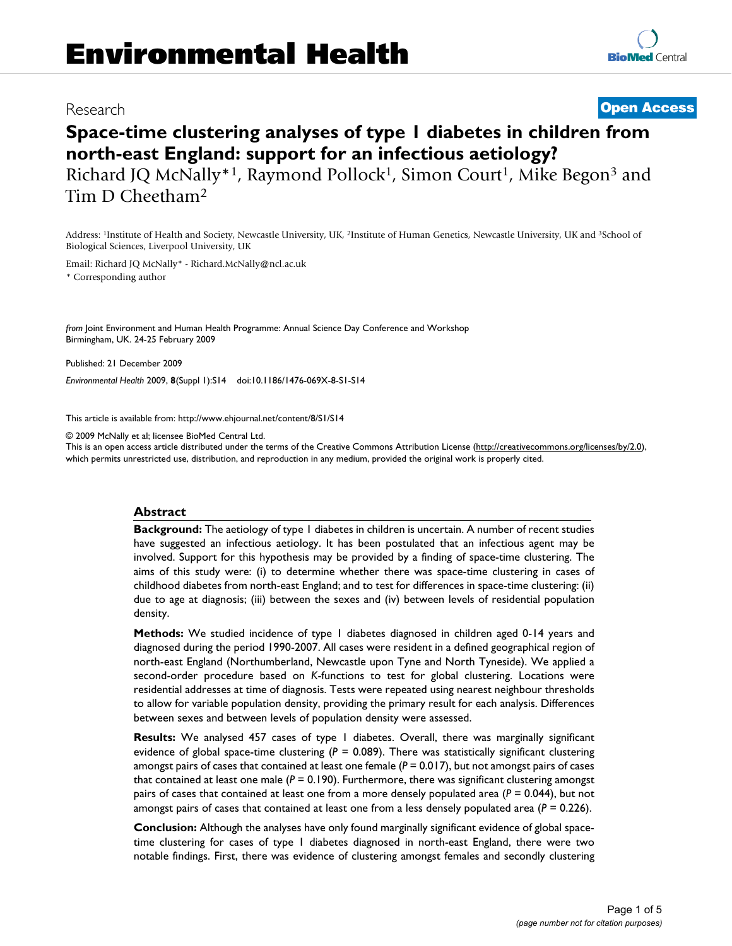## Research **[Open Access](http://www.biomedcentral.com/info/about/charter/)**

# **Space-time clustering analyses of type 1 diabetes in children from north-east England: support for an infectious aetiology?**

Richard JQ McNally<sup>\*1</sup>, Raymond Pollock<sup>1</sup>, Simon Court<sup>1</sup>, Mike Begon<sup>3</sup> and Tim D Cheetham2

Address: 1Institute of Health and Society, Newcastle University, UK, 2Institute of Human Genetics, Newcastle University, UK and 3School of Biological Sciences, Liverpool University, UK

Email: Richard JQ McNally\* - Richard.McNally@ncl.ac.uk

\* Corresponding author

*from* Joint Environment and Human Health Programme: Annual Science Day Conference and Workshop Birmingham, UK. 24-25 February 2009

Published: 21 December 2009

*Environmental Health* 2009, **8**(Suppl 1):S14 doi:10.1186/1476-069X-8-S1-S14

[This article is available from: http://www.ehjournal.net/content/8/S1/S14](http://www.ehjournal.net/content/8/S1/S14)

© 2009 McNally et al; licensee BioMed Central Ltd.

This is an open access article distributed under the terms of the Creative Commons Attribution License [\(http://creativecommons.org/licenses/by/2.0\)](http://creativecommons.org/licenses/by/2.0), which permits unrestricted use, distribution, and reproduction in any medium, provided the original work is properly cited.

#### **Abstract**

**Background:** The aetiology of type 1 diabetes in children is uncertain. A number of recent studies have suggested an infectious aetiology. It has been postulated that an infectious agent may be involved. Support for this hypothesis may be provided by a finding of space-time clustering. The aims of this study were: (i) to determine whether there was space-time clustering in cases of childhood diabetes from north-east England; and to test for differences in space-time clustering: (ii) due to age at diagnosis; (iii) between the sexes and (iv) between levels of residential population density.

**Methods:** We studied incidence of type 1 diabetes diagnosed in children aged 0-14 years and diagnosed during the period 1990-2007. All cases were resident in a defined geographical region of north-east England (Northumberland, Newcastle upon Tyne and North Tyneside). We applied a second-order procedure based on *K*-functions to test for global clustering. Locations were residential addresses at time of diagnosis. Tests were repeated using nearest neighbour thresholds to allow for variable population density, providing the primary result for each analysis. Differences between sexes and between levels of population density were assessed.

**Results:** We analysed 457 cases of type 1 diabetes. Overall, there was marginally significant evidence of global space-time clustering (*P* = 0.089). There was statistically significant clustering amongst pairs of cases that contained at least one female ( $P = 0.017$ ), but not amongst pairs of cases that contained at least one male  $(P = 0.190)$ . Furthermore, there was significant clustering amongst pairs of cases that contained at least one from a more densely populated area (*P* = 0.044), but not amongst pairs of cases that contained at least one from a less densely populated area (*P* = 0.226).

**Conclusion:** Although the analyses have only found marginally significant evidence of global spacetime clustering for cases of type 1 diabetes diagnosed in north-east England, there were two notable findings. First, there was evidence of clustering amongst females and secondly clustering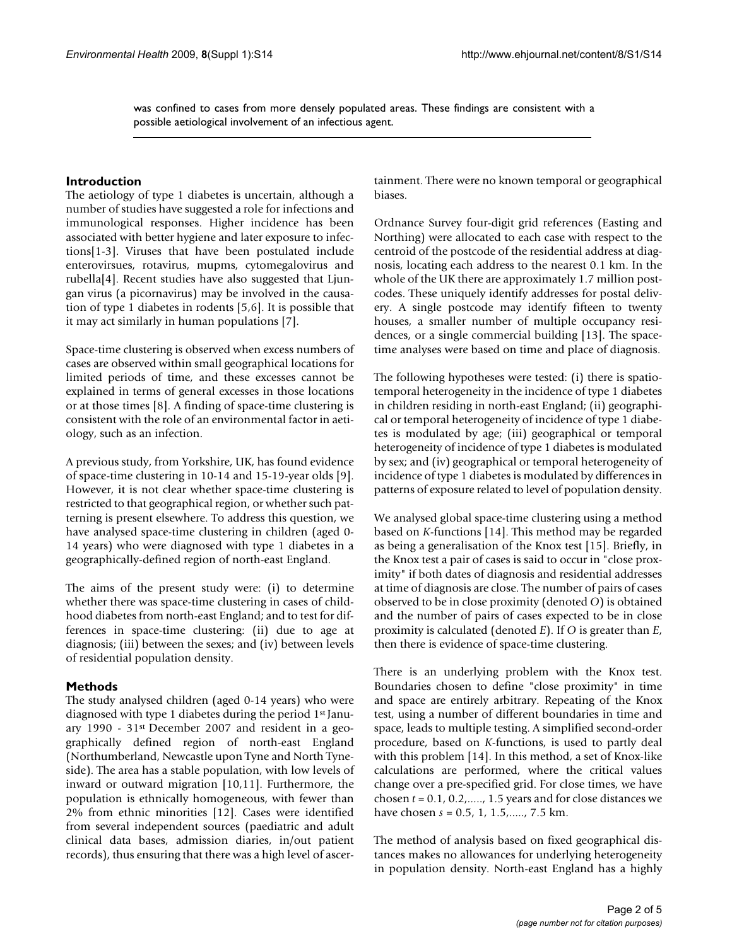was confined to cases from more densely populated areas. These findings are consistent with a possible aetiological involvement of an infectious agent.

#### **Introduction**

The aetiology of type 1 diabetes is uncertain, although a number of studies have suggested a role for infections and immunological responses. Higher incidence has been associated with better hygiene and later exposure to infections[1-3]. Viruses that have been postulated include enterovirsues, rotavirus, mupms, cytomegalovirus and rubella[4]. Recent studies have also suggested that Ljungan virus (a picornavirus) may be involved in the causation of type 1 diabetes in rodents [5,6]. It is possible that it may act similarly in human populations [7].

Space-time clustering is observed when excess numbers of cases are observed within small geographical locations for limited periods of time, and these excesses cannot be explained in terms of general excesses in those locations or at those times [8]. A finding of space-time clustering is consistent with the role of an environmental factor in aetiology, such as an infection.

A previous study, from Yorkshire, UK, has found evidence of space-time clustering in 10-14 and 15-19-year olds [9]. However, it is not clear whether space-time clustering is restricted to that geographical region, or whether such patterning is present elsewhere. To address this question, we have analysed space-time clustering in children (aged 0- 14 years) who were diagnosed with type 1 diabetes in a geographically-defined region of north-east England.

The aims of the present study were: (i) to determine whether there was space-time clustering in cases of childhood diabetes from north-east England; and to test for differences in space-time clustering: (ii) due to age at diagnosis; (iii) between the sexes; and (iv) between levels of residential population density.

#### **Methods**

The study analysed children (aged 0-14 years) who were diagnosed with type 1 diabetes during the period 1st January 1990 - 31st December 2007 and resident in a geographically defined region of north-east England (Northumberland, Newcastle upon Tyne and North Tyneside). The area has a stable population, with low levels of inward or outward migration [10,11]. Furthermore, the population is ethnically homogeneous, with fewer than 2% from ethnic minorities [12]. Cases were identified from several independent sources (paediatric and adult clinical data bases, admission diaries, in/out patient records), thus ensuring that there was a high level of ascertainment. There were no known temporal or geographical biases.

Ordnance Survey four-digit grid references (Easting and Northing) were allocated to each case with respect to the centroid of the postcode of the residential address at diagnosis, locating each address to the nearest 0.1 km. In the whole of the UK there are approximately 1.7 million postcodes. These uniquely identify addresses for postal delivery. A single postcode may identify fifteen to twenty houses, a smaller number of multiple occupancy residences, or a single commercial building [13]. The spacetime analyses were based on time and place of diagnosis.

The following hypotheses were tested: (i) there is spatiotemporal heterogeneity in the incidence of type 1 diabetes in children residing in north-east England; (ii) geographical or temporal heterogeneity of incidence of type 1 diabetes is modulated by age; (iii) geographical or temporal heterogeneity of incidence of type 1 diabetes is modulated by sex; and (iv) geographical or temporal heterogeneity of incidence of type 1 diabetes is modulated by differences in patterns of exposure related to level of population density.

We analysed global space-time clustering using a method based on *K*-functions [14]. This method may be regarded as being a generalisation of the Knox test [15]. Briefly, in the Knox test a pair of cases is said to occur in "close proximity" if both dates of diagnosis and residential addresses at time of diagnosis are close. The number of pairs of cases observed to be in close proximity (denoted *O*) is obtained and the number of pairs of cases expected to be in close proximity is calculated (denoted *E*). If *O* is greater than *E*, then there is evidence of space-time clustering.

There is an underlying problem with the Knox test. Boundaries chosen to define "close proximity" in time and space are entirely arbitrary. Repeating of the Knox test, using a number of different boundaries in time and space, leads to multiple testing. A simplified second-order procedure, based on *K*-functions, is used to partly deal with this problem [14]. In this method, a set of Knox-like calculations are performed, where the critical values change over a pre-specified grid. For close times, we have chosen *t* = 0.1, 0.2,....., 1.5 years and for close distances we have chosen *s* = 0.5, 1, 1.5,....., 7.5 km.

The method of analysis based on fixed geographical distances makes no allowances for underlying heterogeneity in population density. North-east England has a highly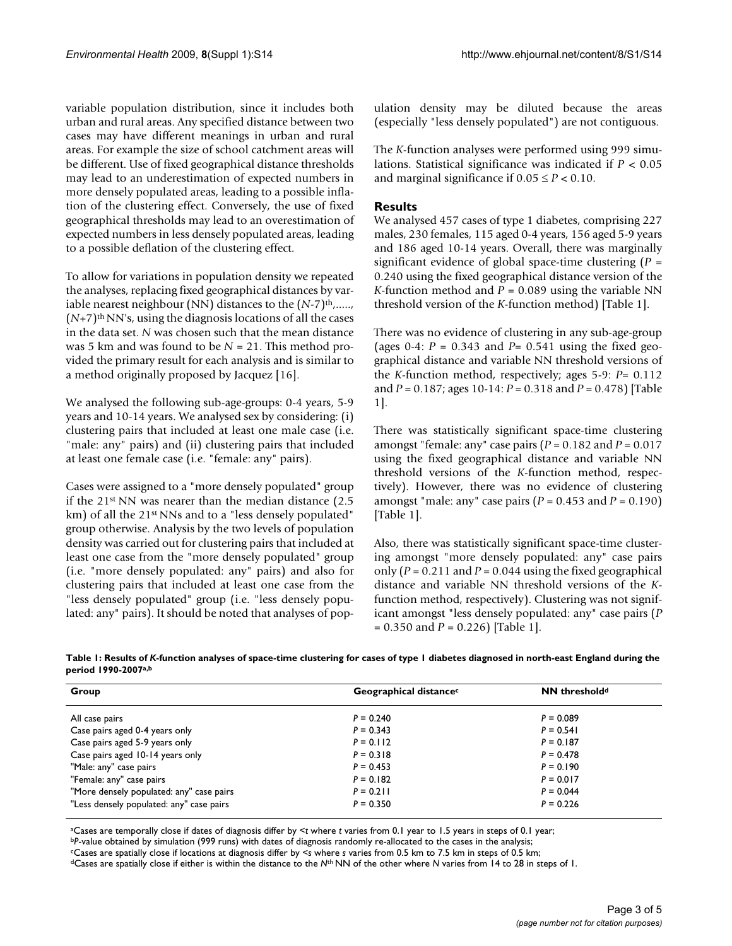variable population distribution, since it includes both urban and rural areas. Any specified distance between two cases may have different meanings in urban and rural areas. For example the size of school catchment areas will be different. Use of fixed geographical distance thresholds may lead to an underestimation of expected numbers in more densely populated areas, leading to a possible inflation of the clustering effect. Conversely, the use of fixed geographical thresholds may lead to an overestimation of expected numbers in less densely populated areas, leading to a possible deflation of the clustering effect.

To allow for variations in population density we repeated the analyses, replacing fixed geographical distances by variable nearest neighbour (NN) distances to the  $(N-7)$ <sup>th</sup>,.....,  $(N+7)$ <sup>th</sup> NN's, using the diagnosis locations of all the cases in the data set. *N* was chosen such that the mean distance was 5 km and was found to be *N* = 21. This method provided the primary result for each analysis and is similar to a method originally proposed by Jacquez [16].

We analysed the following sub-age-groups: 0-4 years, 5-9 years and 10-14 years. We analysed sex by considering: (i) clustering pairs that included at least one male case (i.e. "male: any" pairs) and (ii) clustering pairs that included at least one female case (i.e. "female: any" pairs).

Cases were assigned to a "more densely populated" group if the 21st NN was nearer than the median distance (2.5 km) of all the 21<sup>st</sup> NNs and to a "less densely populated" group otherwise. Analysis by the two levels of population density was carried out for clustering pairs that included at least one case from the "more densely populated" group (i.e. "more densely populated: any" pairs) and also for clustering pairs that included at least one case from the "less densely populated" group (i.e. "less densely populated: any" pairs). It should be noted that analyses of population density may be diluted because the areas (especially "less densely populated") are not contiguous.

The *K*-function analyses were performed using 999 simulations. Statistical significance was indicated if *P* < 0.05 and marginal significance if  $0.05 \le P < 0.10$ .

#### **Results**

We analysed 457 cases of type 1 diabetes, comprising 227 males, 230 females, 115 aged 0-4 years, 156 aged 5-9 years and 186 aged 10-14 years. Overall, there was marginally significant evidence of global space-time clustering (*P* = 0.240 using the fixed geographical distance version of the *K*-function method and  $P = 0.089$  using the variable NN threshold version of the *K*-function method) [Table 1].

There was no evidence of clustering in any sub-age-group (ages 0-4:  $P = 0.343$  and  $P = 0.541$  using the fixed geographical distance and variable NN threshold versions of the *K*-function method, respectively; ages 5-9: *P*= 0.112 and *P* = 0.187; ages 10-14: *P* = 0.318 and *P* = 0.478) [Table 1].

There was statistically significant space-time clustering amongst "female: any" case pairs (*P* = 0.182 and *P* = 0.017 using the fixed geographical distance and variable NN threshold versions of the *K*-function method, respectively). However, there was no evidence of clustering amongst "male: any" case pairs  $(P = 0.453$  and  $P = 0.190$ ) [Table 1].

Also, there was statistically significant space-time clustering amongst "more densely populated: any" case pairs only  $(P = 0.211$  and  $P = 0.044$  using the fixed geographical distance and variable NN threshold versions of the *K*function method, respectively). Clustering was not significant amongst "less densely populated: any" case pairs (*P* = 0.350 and *P* = 0.226) [Table 1].

| Table 1: Results of K-function analyses of space-time clustering for cases of type 1 diabetes diagnosed in north-east England during the |  |
|------------------------------------------------------------------------------------------------------------------------------------------|--|
| period 1990-2007 <sup>a,b</sup>                                                                                                          |  |

| Group                                    | Geographical distance <sup>c</sup> | <b>NN</b> threshold <sup>d</sup> |
|------------------------------------------|------------------------------------|----------------------------------|
| All case pairs                           | $P = 0.240$                        | $P = 0.089$                      |
| Case pairs aged 0-4 years only           | $P = 0.343$                        | $P = 0.541$                      |
| Case pairs aged 5-9 years only           | $P = 0.112$                        | $P = 0.187$                      |
| Case pairs aged 10-14 years only         | $P = 0.318$                        | $P = 0.478$                      |
| "Male: any" case pairs                   | $P = 0.453$                        | $P = 0.190$                      |
| "Female: any" case pairs                 | $P = 0.182$                        | $P = 0.017$                      |
| "More densely populated: any" case pairs | $P = 0.211$                        | $P = 0.044$                      |
| "Less densely populated: any" case pairs | $P = 0.350$                        | $P = 0.226$                      |

aCases are temporally close if dates of diagnosis differ by <*t* where *t* varies from 0.1 year to 1.5 years in steps of 0.1 year;

bP-value obtained by simulation (999 runs) with dates of diagnosis randomly re-allocated to the cases in the analysis;

cCases are spatially close if locations at diagnosis differ by <*s* where *s* varies from 0.5 km to 7.5 km in steps of 0.5 km;

dCases are spatially close if either is within the distance to the *N*th NN of the other where *N* varies from 14 to 28 in steps of 1.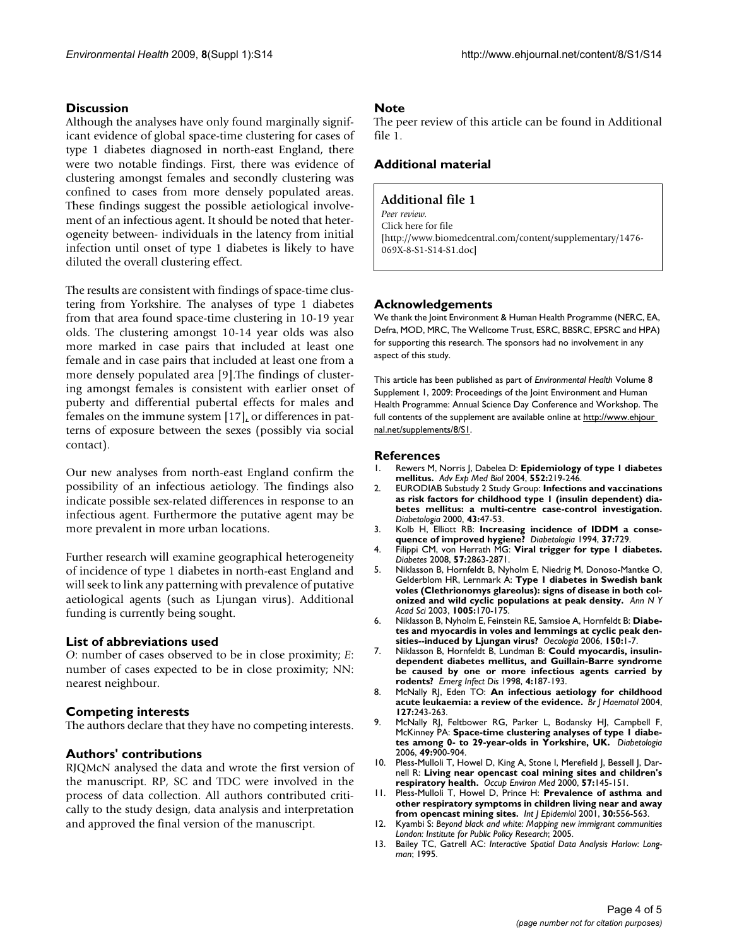### **Discussion**

Although the analyses have only found marginally significant evidence of global space-time clustering for cases of type 1 diabetes diagnosed in north-east England, there were two notable findings. First, there was evidence of clustering amongst females and secondly clustering was confined to cases from more densely populated areas. These findings suggest the possible aetiological involvement of an infectious agent. It should be noted that heterogeneity between- individuals in the latency from initial infection until onset of type 1 diabetes is likely to have diluted the overall clustering effect.

The results are consistent with findings of space-time clustering from Yorkshire. The analyses of type 1 diabetes from that area found space-time clustering in 10-19 year olds. The clustering amongst 10-14 year olds was also more marked in case pairs that included at least one female and in case pairs that included at least one from a more densely populated area [9].The findings of clustering amongst females is consistent with earlier onset of puberty and differential pubertal effects for males and females on the immune system [17], or differences in patterns of exposure between the sexes (possibly via social contact).

Our new analyses from north-east England confirm the possibility of an infectious aetiology. The findings also indicate possible sex-related differences in response to an infectious agent. Furthermore the putative agent may be more prevalent in more urban locations.

Further research will examine geographical heterogeneity of incidence of type 1 diabetes in north-east England and will seek to link any patterning with prevalence of putative aetiological agents (such as Ljungan virus). Additional funding is currently being sought.

#### **List of abbreviations used**

*O*: number of cases observed to be in close proximity; *E*: number of cases expected to be in close proximity; NN: nearest neighbour.

#### **Competing interests**

The authors declare that they have no competing interests.

#### **Authors' contributions**

RJQMcN analysed the data and wrote the first version of the manuscript. RP, SC and TDC were involved in the process of data collection. All authors contributed critically to the study design, data analysis and interpretation and approved the final version of the manuscript.

#### **Note**

The peer review of this article can be found in Additional file 1.

#### **Additional material**

#### **Additional file 1**

*Peer review.* Click here for file [\[http://www.biomedcentral.com/content/supplementary/1476-](http://www.biomedcentral.com/content/supplementary/1476-069X-8-S1-S14-S1.doc) 069X-8-S1-S14-S1.doc]

#### **Acknowledgements**

We thank the Joint Environment & Human Health Programme (NERC, EA, Defra, MOD, MRC, The Wellcome Trust, ESRC, BBSRC, EPSRC and HPA) for supporting this research. The sponsors had no involvement in any aspect of this study.

This article has been published as part of *Environmental Health* Volume 8 Supplement 1, 2009: Proceedings of the Joint Environment and Human Health Programme: Annual Science Day Conference and Workshop. The full contents of the supplement are available online at http://www.ehjour [nal.net/supplements/8/S1](http://www.ehjournal.net/supplements/8/S1).

#### **References**

- 1. Rewers M, Norris J, Dabelea D: **[Epidemiology of type 1 diabetes](http://www.ncbi.nlm.nih.gov/entrez/query.fcgi?cmd=Retrieve&db=PubMed&dopt=Abstract&list_uids=15622966) [mellitus.](http://www.ncbi.nlm.nih.gov/entrez/query.fcgi?cmd=Retrieve&db=PubMed&dopt=Abstract&list_uids=15622966)** *Adv Exp Med Biol* 2004, **552:**219-246.
- 2. EURODIAB Substudy 2 Study Group: **Infections and vaccinations as risk factors for childhood type 1 (insulin dependent) diabetes mellitus: a multi-centre case-control investigation.** *Diabetologia* 2000, **43:**47-53.
- 3. Kolb H, Elliott RB: **[Increasing incidence of IDDM a conse](http://www.ncbi.nlm.nih.gov/entrez/query.fcgi?cmd=Retrieve&db=PubMed&dopt=Abstract&list_uids=7958547)[quence of improved hygiene?](http://www.ncbi.nlm.nih.gov/entrez/query.fcgi?cmd=Retrieve&db=PubMed&dopt=Abstract&list_uids=7958547)** *Diabetologia* 1994, **37:**729.
- 4. Filippi CM, von Herrath MG: **[Viral trigger for type 1 diabetes.](http://www.ncbi.nlm.nih.gov/entrez/query.fcgi?cmd=Retrieve&db=PubMed&dopt=Abstract&list_uids=18971433)** *Diabetes* 2008, **57:**2863-2871.
- 5. Niklasson B, Hornfeldt B, Nyholm E, Niedrig M, Donoso-Mantke O, Gelderblom HR, Lernmark A: **[Type 1 diabetes in Swedish bank](http://www.ncbi.nlm.nih.gov/entrez/query.fcgi?cmd=Retrieve&db=PubMed&dopt=Abstract&list_uids=14679053) [voles \(Clethrionomys glareolus\): signs of disease in both col](http://www.ncbi.nlm.nih.gov/entrez/query.fcgi?cmd=Retrieve&db=PubMed&dopt=Abstract&list_uids=14679053)[onized and wild cyclic populations at peak density.](http://www.ncbi.nlm.nih.gov/entrez/query.fcgi?cmd=Retrieve&db=PubMed&dopt=Abstract&list_uids=14679053)** *Ann N Y Acad Sci* 2003, **1005:**170-175.
- 6. Niklasson B, Nyholm E, Feinstein RE, Samsioe A, Hornfeldt B: **[Diabe](http://www.ncbi.nlm.nih.gov/entrez/query.fcgi?cmd=Retrieve&db=PubMed&dopt=Abstract&list_uids=16868760)[tes and myocardis in voles and lemmings at cyclic peak den](http://www.ncbi.nlm.nih.gov/entrez/query.fcgi?cmd=Retrieve&db=PubMed&dopt=Abstract&list_uids=16868760)[sities--induced by Ljungan virus?](http://www.ncbi.nlm.nih.gov/entrez/query.fcgi?cmd=Retrieve&db=PubMed&dopt=Abstract&list_uids=16868760)** *Oecologia* 2006, **150:**1-7.
- 7. Niklasson B, Hornfeldt B, Lundman B: **[Could myocardis, insulin](http://www.ncbi.nlm.nih.gov/entrez/query.fcgi?cmd=Retrieve&db=PubMed&dopt=Abstract&list_uids=9621189)[dependent diabetes mellitus, and Guillain-Barre syndrome](http://www.ncbi.nlm.nih.gov/entrez/query.fcgi?cmd=Retrieve&db=PubMed&dopt=Abstract&list_uids=9621189) be caused by one or more infectious agents carried by [rodents?](http://www.ncbi.nlm.nih.gov/entrez/query.fcgi?cmd=Retrieve&db=PubMed&dopt=Abstract&list_uids=9621189)** *Emerg Infect Dis* 1998, **4:**187-193.
- 8. McNally RJ, Eden TO: **[An infectious aetiology for childhood](http://www.ncbi.nlm.nih.gov/entrez/query.fcgi?cmd=Retrieve&db=PubMed&dopt=Abstract&list_uids=15491284) [acute leukaemia: a review of the evidence.](http://www.ncbi.nlm.nih.gov/entrez/query.fcgi?cmd=Retrieve&db=PubMed&dopt=Abstract&list_uids=15491284)** *Br J Haematol* 2004, **127:**243-263.
- 9. McNally RJ, Feltbower RG, Parker L, Bodansky HJ, Campbell F, McKinney PA: **[Space-time clustering analyses of type 1 diabe](http://www.ncbi.nlm.nih.gov/entrez/query.fcgi?cmd=Retrieve&db=PubMed&dopt=Abstract&list_uids=16557371)[tes among 0- to 29-year-olds in Yorkshire, UK.](http://www.ncbi.nlm.nih.gov/entrez/query.fcgi?cmd=Retrieve&db=PubMed&dopt=Abstract&list_uids=16557371)** *Diabetologia* 2006, **49:**900-904.
- 10. Pless-Mulloli T, Howel D, King A, Stone I, Merefield J, Bessell J, Darnell R: **[Living near opencast coal mining sites and children's](http://www.ncbi.nlm.nih.gov/entrez/query.fcgi?cmd=Retrieve&db=PubMed&dopt=Abstract&list_uids=10810095) [respiratory health.](http://www.ncbi.nlm.nih.gov/entrez/query.fcgi?cmd=Retrieve&db=PubMed&dopt=Abstract&list_uids=10810095)** *Occup Environ Med* 2000, **57:**145-151.
- 11. Pless-Mulloli T, Howel D, Prince H: **[Prevalence of asthma and](http://www.ncbi.nlm.nih.gov/entrez/query.fcgi?cmd=Retrieve&db=PubMed&dopt=Abstract&list_uids=11416083) [other respiratory symptoms in children living near and away](http://www.ncbi.nlm.nih.gov/entrez/query.fcgi?cmd=Retrieve&db=PubMed&dopt=Abstract&list_uids=11416083) [from opencast mining sites.](http://www.ncbi.nlm.nih.gov/entrez/query.fcgi?cmd=Retrieve&db=PubMed&dopt=Abstract&list_uids=11416083)** *Int J Epidemiol* 2001, **30:**556-563.
- 12. Kyambi S: *Beyond black and white: Mapping new immigrant communities London: Institute for Public Policy Research*; 2005.
- 13. Bailey TC, Gatrell AC: *Interactive Spatial Data Analysis Harlow: Longman*; 1995.